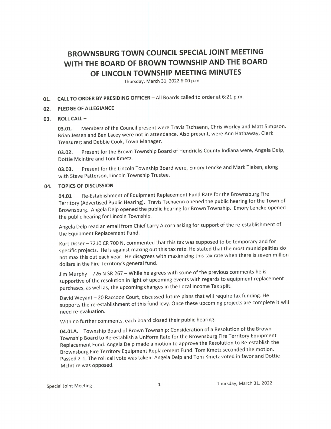# BROWNSBURG TOWN COUNCIL SPECIAL JOINT MEETING WITH THE BOARD OF BROWN TOWNSHIP AND THE BOARD OF LINCOLN TOWNSHIP MEETING MINUTES

Thursday, March 31, 2022 6:00 p.m.

## 01. CALL TO ORDER BY PRESIDING OFFICER - All Boards called to order at 6:21 p.m.

### 02. PLEDGE OF ALLEGIANCE

#### 03. ROLL CALL—

03.01. Members of the Council present were Travis Tschaenn, Chris Worley and Matt Simpson. Brian lessen and Ben Lacey were not in attendance. Also present, were Ann Hathaway, Clerk Treasurer; and Debbie Cook, Town Manager.

03.02. Present for the Brown Township Board of Hendricks County Indiana were, Angela Delp, Dottie McIntire and Tom Kmetz.

03.03. Present for the Lincoln Township Board were, Emory Lencke and Mark Tieken, along with Steve Patterson, Lincoln Township Trustee.

#### 04. TOPICS OF DISCUSSION

04.01 Re-Establishment of Equipment Replacement Fund Rate for the Brownsburg Fire Territory( Advertised Public Hearing). Travis Tschaenn opened the public hearing for the Town of Brownsburg. Angela Delp opened the public hearing for Brown Township. Emory Lencke opened the public hearing for Lincoln Township.

Angela Delp read an email from Chief Larry Alcorn asking for support of the re-establishment of the Equipment Replacement Fund.

Kurt Disser- 7210 CR 700 N, commented that this tax was supposed to be temporary and for specific projects. He is against maxing out this tax rate. He stated that the most municipalities do not max this out each year. He disagrees with maximizing this tax rate when there is seven million dollars in the Fire Territory's general fund.

Jim Murphy— <sup>726</sup> <sup>N</sup> SR 267— While he agrees with some of the previous comments he is supportive of the resolution in light of upcoming events with regards to equipment replacement purchases, as well as, the upcoming changes in the Local Income Tax split.

David Weyant— 20 Raccoon Court, discussed future plans that will require tax funding. He supports the re-establishment of this fund levy. Once these upcoming projects are complete it will need re-evaluation.

With no further comments, each board closed their public hearing.

04.01A. Township Board of Brown Township: Consideration of a Resolution of the Brown Township Board to Re-establish a Uniform Rate for the Brownsburg Fire Territory Equipment Replacement Fund. Angela Delp made a motion to approve the Resolution to Re-establish the Brownsburg Fire Territory Equipment Replacement Fund. Tom Kmetz seconded the motion. Passed 2-1. The roll call vote was taken: Angela Delp and Tom Kmetz voted in favor and Dottie McIntire was opposed.

Special Joint Meeting 1 1 Thursday, March 31, 2022